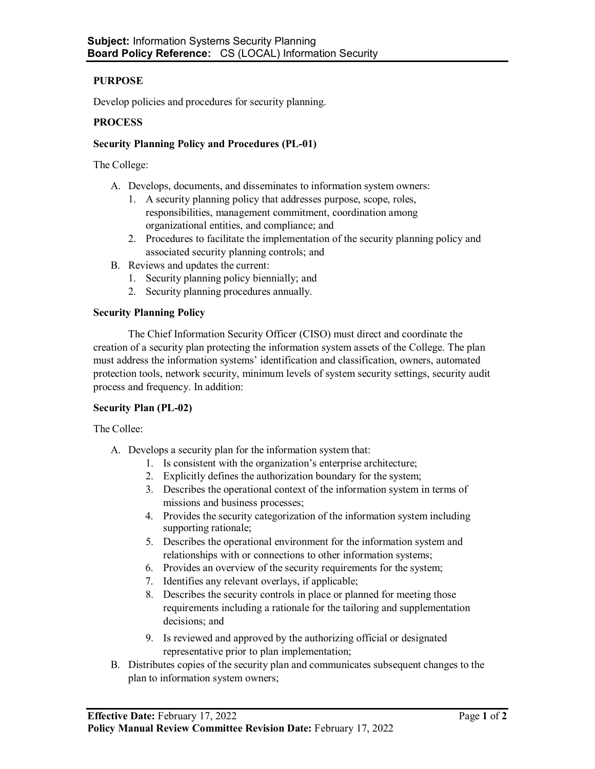# **PURPOSE**

Develop policies and procedures for security planning.

## **PROCESS**

## **Security Planning Policy and Procedures (PL-01)**

The College:

- A. Develops, documents, and disseminates to information system owners:
	- 1. A security planning policy that addresses purpose, scope, roles, responsibilities, management commitment, coordination among organizational entities, and compliance; and
	- 2. Procedures to facilitate the implementation of the security planning policy and associated security planning controls; and
- B. Reviews and updates the current:
	- 1. Security planning policy biennially; and
	- 2. Security planning procedures annually.

#### **Security Planning Policy**

The Chief Information Security Officer (CISO) must direct and coordinate the creation of a security plan protecting the information system assets of the College. The plan must address the information systems' identification and classification, owners, automated protection tools, network security, minimum levels of system security settings, security audit process and frequency. In addition:

#### **Security Plan (PL-02)**

The Collee:

- A. Develops a security plan for the information system that:
	- 1. Is consistent with the organization's enterprise architecture;
	- 2. Explicitly defines the authorization boundary for the system;
	- 3. Describes the operational context of the information system in terms of missions and business processes;
	- 4. Provides the security categorization of the information system including supporting rationale;
	- 5. Describes the operational environment for the information system and relationships with or connections to other information systems;
	- 6. Provides an overview of the security requirements for the system;
	- 7. Identifies any relevant overlays, if applicable;
	- 8. Describes the security controls in place or planned for meeting those requirements including a rationale for the tailoring and supplementation decisions; and
	- 9. Is reviewed and approved by the authorizing official or designated representative prior to plan implementation;
- B. Distributes copies of the security plan and communicates subsequent changes to the plan to information system owners;